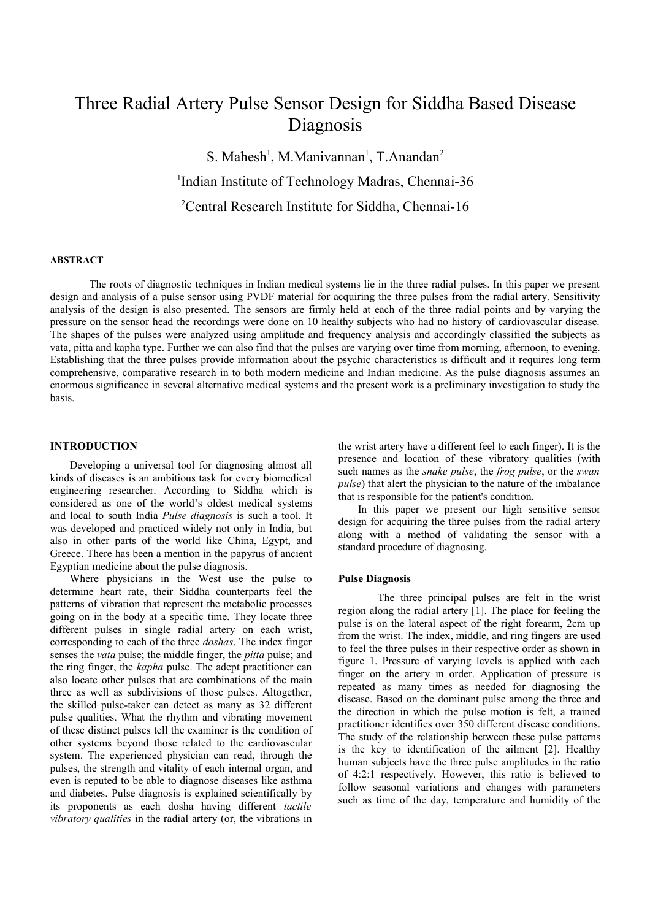# Three Radial Artery Pulse Sensor Design for Siddha Based Disease Diagnosis

S. Mahesh<sup>1</sup>, M.Manivannan<sup>1</sup>, T.Anandan<sup>2</sup> <sup>1</sup>Indian Institute of Technology Madras, Chennai-36 <sup>2</sup>Central Research Institute for Siddha, Chennai-16

## **ABSTRACT**

The roots of diagnostic techniques in Indian medical systems lie in the three radial pulses. In this paper we present design and analysis of a pulse sensor using PVDF material for acquiring the three pulses from the radial artery. Sensitivity analysis of the design is also presented. The sensors are firmly held at each of the three radial points and by varying the pressure on the sensor head the recordings were done on 10 healthy subjects who had no history of cardiovascular disease. The shapes of the pulses were analyzed using amplitude and frequency analysis and accordingly classified the subjects as vata, pitta and kapha type. Further we can also find that the pulses are varying over time from morning, afternoon, to evening. Establishing that the three pulses provide information about the psychic characteristics is difficult and it requires long term comprehensive, comparative research in to both modern medicine and Indian medicine. As the pulse diagnosis assumes an enormous significance in several alternative medical systems and the present work is a preliminary investigation to study the basis.

## **INTRODUCTION**

Developing a universal tool for diagnosing almost all kinds of diseases is an ambitious task for every biomedical engineering researcher. According to Siddha which is considered as one of the world's oldest medical systems and local to south India *Pulse diagnosis* is such a tool. It was developed and practiced widely not only in India, but also in other parts of the world like China, Egypt, and Greece. There has been a mention in the papyrus of ancient Egyptian medicine about the pulse diagnosis.

Where physicians in the West use the pulse to determine heart rate, their Siddha counterparts feel the patterns of vibration that represent the metabolic processes going on in the body at a specific time. They locate three different pulses in single radial artery on each wrist, corresponding to each of the three *doshas*. The index finger senses the *vata* pulse; the middle finger, the *pitta* pulse; and the ring finger, the *kapha* pulse. The adept practitioner can also locate other pulses that are combinations of the main three as well as subdivisions of those pulses. Altogether, the skilled pulse-taker can detect as many as 32 different pulse qualities. What the rhythm and vibrating movement of these distinct pulses tell the examiner is the condition of other systems beyond those related to the cardiovascular system. The experienced physician can read, through the pulses, the strength and vitality of each internal organ, and even is reputed to be able to diagnose diseases like asthma and diabetes. Pulse diagnosis is explained scientifically by its proponents as each dosha having different *tactile vibratory qualities* in the radial artery (or, the vibrations in

the wrist artery have a different feel to each finger). It is the presence and location of these vibratory qualities (with such names as the *snake pulse*, the *frog pulse*, or the *swan pulse*) that alert the physician to the nature of the imbalance that is responsible for the patient's condition.

In this paper we present our high sensitive sensor design for acquiring the three pulses from the radial artery along with a method of validating the sensor with a standard procedure of diagnosing.

#### **Pulse Diagnosis**

The three principal pulses are felt in the wrist region along the radial artery [1]. The place for feeling the pulse is on the lateral aspect of the right forearm, 2cm up from the wrist. The index, middle, and ring fingers are used to feel the three pulses in their respective order as shown in figure 1. Pressure of varying levels is applied with each finger on the artery in order. Application of pressure is repeated as many times as needed for diagnosing the disease. Based on the dominant pulse among the three and the direction in which the pulse motion is felt, a trained practitioner identifies over 350 different disease conditions. The study of the relationship between these pulse patterns is the key to identification of the ailment [2]. Healthy human subjects have the three pulse amplitudes in the ratio of 4:2:1 respectively. However, this ratio is believed to follow seasonal variations and changes with parameters such as time of the day, temperature and humidity of the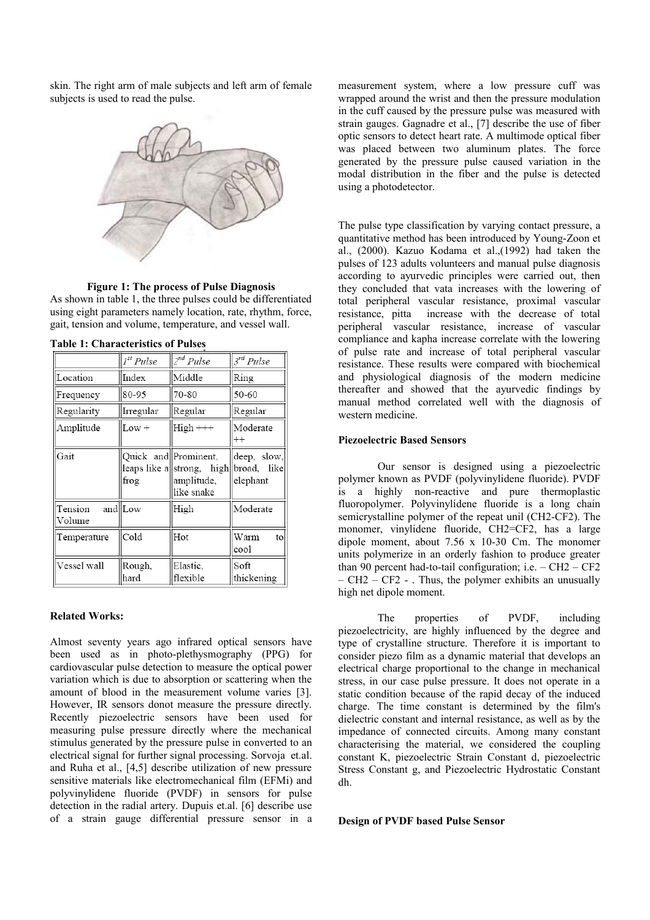skin. The right arm of male subjects and left arm of female subjects is used to read the pulse.



#### **Figure 1: The process of Pulse Diagnosis**

As shown in table 1, the three pulses could be differentiated using eight parameters namely location, rate, rhythm, force, gait, tension and volume, temperature, and vessel wall.

|                   | 1 <sup>st</sup> Pulse | $2^{nd}$ Pulse                                                                              | $3^{rd}$ Pulse          |
|-------------------|-----------------------|---------------------------------------------------------------------------------------------|-------------------------|
| Location          | Index                 | Middle                                                                                      | Ring                    |
| Frequency         | 80-95                 | 70-80                                                                                       | 50-60                   |
| Regularity        | Irregular             | Regular                                                                                     | Regular                 |
| Amplitude         | $Low +$               | $High++$                                                                                    | Moderate<br>$^{++}$     |
| Gait              | frog                  | Quick and Prominent,<br>leaps like a  strong, high  broad, like<br>amplitude,<br>like snake | deep, slow,<br>elephant |
| Tension<br>Volume | and Low               | High                                                                                        | Moderate                |
| Temperature       | Cold                  | Hot                                                                                         | Warm<br>to<br>cool      |
| Vessel wall       | Rough,<br>hard        | Elastic,<br>flexible                                                                        | Soft<br>thickening      |
|                   |                       |                                                                                             |                         |

**Table 1: Characteristics of Pulses**

#### **Related Works:**

Almost seventy years ago infrared optical sensors have been used as in photo-plethysmography (PPG) for cardiovascular pulse detection to measure the optical power variation which is due to absorption or scattering when the amount of blood in the measurement volume varies [3]. However, IR sensors donot measure the pressure directly. Recently piezoelectric sensors have been used for measuring pulse pressure directly where the mechanical stimulus generated by the pressure pulse in converted to an electrical signal for further signal processing. Sorvoja et.al. and Ruha et al., [4,5] describe utilization of new pressure sensitive materials like electromechanical film (EFMi) and polyvinylidene fluoride (PVDF) in sensors for pulse detection in the radial artery. Dupuis et.al. [6] describe use of a strain gauge differential pressure sensor in a measurement system, where a low pressure cuff was wrapped around the wrist and then the pressure modulation in the cuff caused by the pressure pulse was measured with strain gauges. Gagnadre et al., [7] describe the use of fiber optic sensors to detect heart rate. A multimode optical fiber was placed between two aluminum plates. The force generated by the pressure pulse caused variation in the modal distribution in the fiber and the pulse is detected using a photodetector.

The pulse type classification by varying contact pressure, a quantitative method has been introduced by Young-Zoon et al., (2000). Kazuo Kodama et al.,(1992) had taken the pulses of 123 adults volunteers and manual pulse diagnosis according to ayurvedic principles were carried out, then they concluded that vata increases with the lowering of total peripheral vascular resistance, proximal vascular resistance, pitta increase with the decrease of total peripheral vascular resistance, increase of vascular compliance and kapha increase correlate with the lowering of pulse rate and increase of total peripheral vascular resistance. These results were compared with biochemical and physiological diagnosis of the modern medicine thereafter and showed that the ayurvedic findings by manual method correlated well with the diagnosis of western medicine.

#### **Piezoelectric Based Sensors**

Our sensor is designed using a piezoelectric polymer known as PVDF (polyvinylidene fluoride). PVDF is a highly non-reactive and pure thermoplastic fluoropolymer. Polyvinylidene fluoride is a long chain semicrystalline polymer of the repeat unil (CH2-CF2). The monomer, vinylidene fluoride, CH2=CF2, has a large dipole moment, about 7.56 x 10-30 Cm. The monomer units polymerize in an orderly fashion to produce greater than 90 percent had-to-tail configuration; i.e. – CH2 – CF2  $-$  CH2 – CF2 - . Thus, the polymer exhibits an unusually high net dipole moment.

The properties of PVDF, including piezoelectricity, are highly influenced by the degree and type of crystalline structure. Therefore it is important to consider piezo film as a dynamic material that develops an electrical charge proportional to the change in mechanical stress, in our case pulse pressure. It does not operate in a static condition because of the rapid decay of the induced charge. The time constant is determined by the film's dielectric constant and internal resistance, as well as by the impedance of connected circuits. Among many constant characterising the material, we considered the coupling constant K, piezoelectric Strain Constant d, piezoelectric Stress Constant g, and Piezoelectric Hydrostatic Constant dh.

#### **Design of PVDF based Pulse Sensor**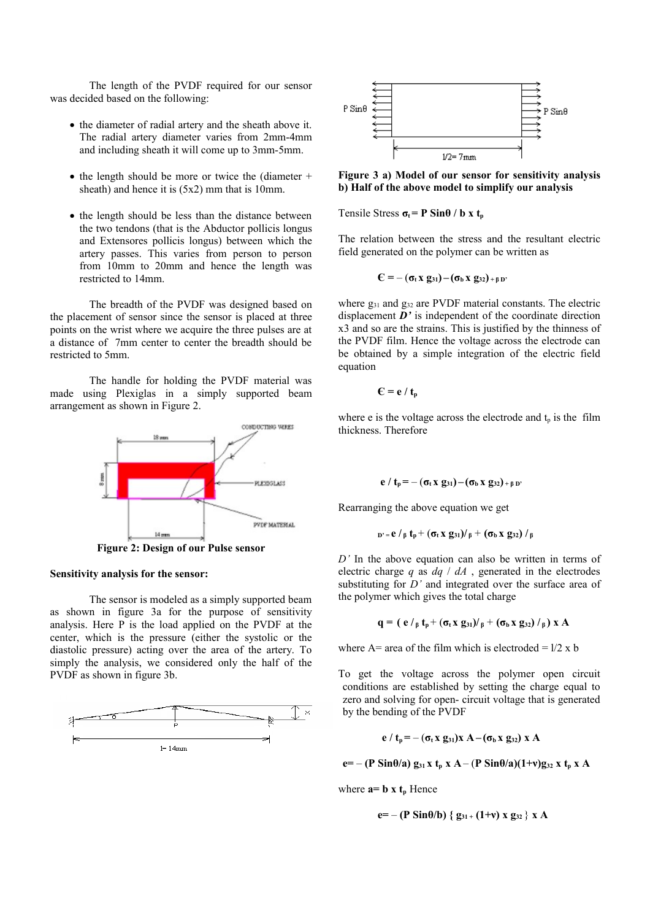The length of the PVDF required for our sensor was decided based on the following:

- the diameter of radial artery and the sheath above it. The radial artery diameter varies from 2mm-4mm and including sheath it will come up to 3mm-5mm.
- $\bullet$  the length should be more or twice the (diameter + sheath) and hence it is (5x2) mm that is 10mm.
- the length should be less than the distance between the two tendons (that is the Abductor pollicis longus and Extensores pollicis longus) between which the artery passes. This varies from person to person from 10mm to 20mm and hence the length was restricted to 14mm.

The breadth of the PVDF was designed based on the placement of sensor since the sensor is placed at three points on the wrist where we acquire the three pulses are at a distance of 7mm center to center the breadth should be restricted to 5mm.

The handle for holding the PVDF material was made using Plexiglas in a simply supported beam arrangement as shown in Figure 2.



**Figure 2: Design of our Pulse sensor**

## **Sensitivity analysis for the sensor:**

The sensor is modeled as a simply supported beam as shown in figure 3a for the purpose of sensitivity analysis. Here P is the load applied on the PVDF at the center, which is the pressure (either the systolic or the diastolic pressure) acting over the area of the artery. To simply the analysis, we considered only the half of the PVDF as shown in figure 3b.





**Figure 3 a) Model of our sensor for sensitivity analysis b) Half of the above model to simplify our analysis**

Tensile Stress  $\sigma_t = P \sin\theta / b x t_p$ 

The relation between the stress and the resultant electric field generated on the polymer can be written as

$$
C = -(\sigma_t x \ g_{31}) - (\sigma_b x \ g_{32})_{+\beta D'}
$$

where  $g_{31}$  and  $g_{32}$  are PVDF material constants. The electric displacement *D'* is independent of the coordinate direction x3 and so are the strains. This is justified by the thinness of the PVDF film. Hence the voltage across the electrode can be obtained by a simple integration of the electric field equation

$$
C = e / t_p
$$

where e is the voltage across the electrode and  $t_n$  is the film thickness. Therefore

$$
e / t_p = -(\sigma_t x g_{31}) - (\sigma_b x g_{32})_{+\beta D'}
$$

Rearranging the above equation we get

$$
_{D'=}e\ /\ _{\beta }\ t_{p}+\left( \sigma _{t}\,x\, \,g_{31}\right) \!/\ _{\beta }+\left( \sigma _{b}\,x\, \,g_{32}\right) \,/\ _{\beta }
$$

*D'* In the above equation can also be written in terms of electric charge *q* as *dq* / *dA* , generated in the electrodes substituting for *D'* and integrated over the surface area of the polymer which gives the total charge

$$
q = ( e /_{\beta} t_{p} + (\sigma_{t} x g_{31}) /_{\beta} + (\sigma_{b} x g_{32}) /_{\beta} ) x A
$$

where  $A$ = area of the film which is electroded =  $1/2$  x b

To get the voltage across the polymer open circuit conditions are established by setting the charge equal to zero and solving for open- circuit voltage that is generated by the bending of the PVDF

$$
e / t_p = -(\sigma_t x g_{31}) x A - (\sigma_b x g_{32}) x A
$$

**e**=  $-(P \sin \theta/a) g_{31} x t_{p} x A - (P \sin \theta/a)(1+v) g_{32} x t_{p} x A$ 

where  $\mathbf{a} = \mathbf{b} \times \mathbf{t}_p$  Hence

$$
e = - (P \sin \theta/b) \{ g_{31} + (1+v) x g_{32} \} x A
$$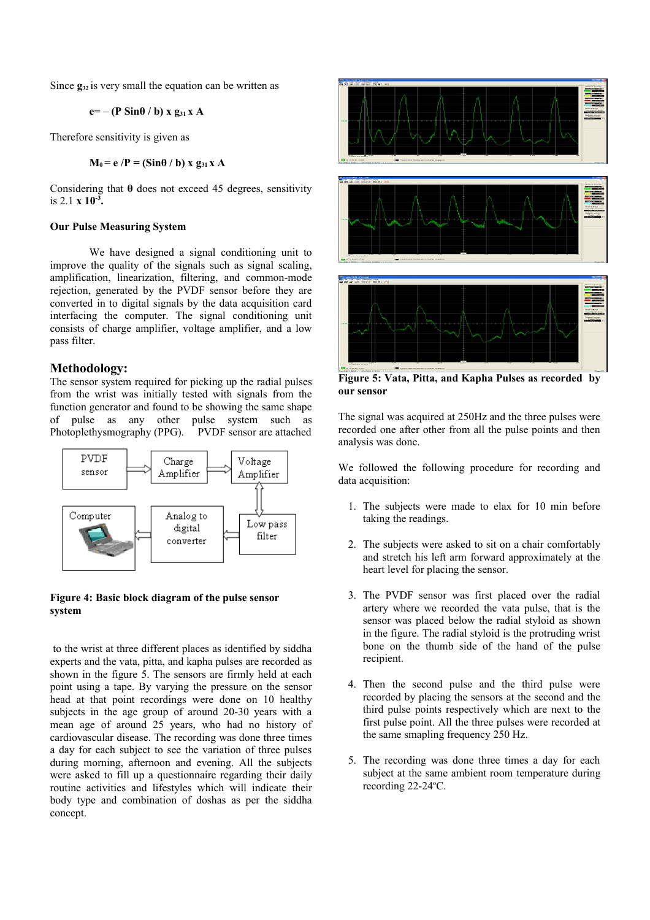Since  $g_{32}$  is very small the equation can be written as

 $e=- (P \sin \theta / b)$  **x**  $g_{31}$ **x A** 

Therefore sensitivity is given as

$$
M_0 = e / P = (Sin\theta / b) \times g_{31} \times A
$$

Considering that **θ** does not exceed 45 degrees, sensitivity is 2.1 **x 10-3 .** 

#### **Our Pulse Measuring System**

We have designed a signal conditioning unit to improve the quality of the signals such as signal scaling, amplification, linearization, filtering, and common-mode rejection, generated by the PVDF sensor before they are converted in to digital signals by the data acquisition card interfacing the computer. The signal conditioning unit consists of charge amplifier, voltage amplifier, and a low pass filter.

## **Methodology:**

The sensor system required for picking up the radial pulses from the wrist was initially tested with signals from the function generator and found to be showing the same shape of pulse as any other pulse system such as Photoplethysmography (PPG). PVDF sensor are attached



## **Figure 4: Basic block diagram of the pulse sensor system**

to the wrist at three different places as identified by siddha experts and the vata, pitta, and kapha pulses are recorded as shown in the figure 5. The sensors are firmly held at each point using a tape. By varying the pressure on the sensor head at that point recordings were done on 10 healthy subjects in the age group of around 20-30 years with a mean age of around 25 years, who had no history of cardiovascular disease. The recording was done three times a day for each subject to see the variation of three pulses during morning, afternoon and evening. All the subjects were asked to fill up a questionnaire regarding their daily routine activities and lifestyles which will indicate their body type and combination of doshas as per the siddha concept.



**Figure 5: Vata, Pitta, and Kapha Pulses as recorded by our sensor**

The signal was acquired at 250Hz and the three pulses were recorded one after other from all the pulse points and then analysis was done.

We followed the following procedure for recording and data acquisition:

- 1. The subjects were made to elax for 10 min before taking the readings.
- 2. The subjects were asked to sit on a chair comfortably and stretch his left arm forward approximately at the heart level for placing the sensor.
- 3. The PVDF sensor was first placed over the radial artery where we recorded the vata pulse, that is the sensor was placed below the radial styloid as shown in the figure. The radial styloid is the protruding wrist bone on the thumb side of the hand of the pulse recipient.
- 4. Then the second pulse and the third pulse were recorded by placing the sensors at the second and the third pulse points respectively which are next to the first pulse point. All the three pulses were recorded at the same smapling frequency 250 Hz.
- 5. The recording was done three times a day for each subject at the same ambient room temperature during recording 22-24 °C.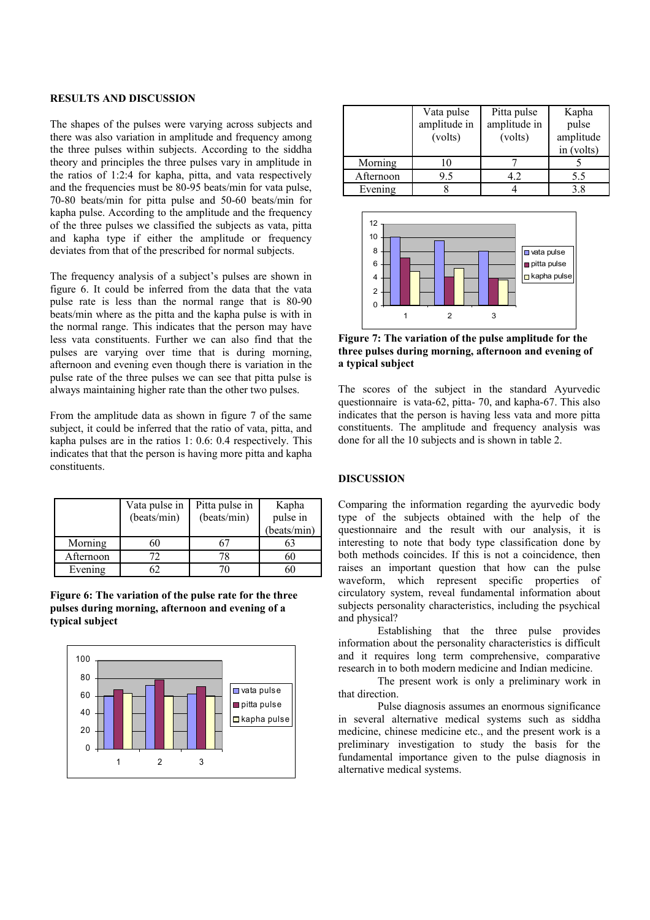## **RESULTS AND DISCUSSION**

The shapes of the pulses were varying across subjects and there was also variation in amplitude and frequency among the three pulses within subjects. According to the siddha theory and principles the three pulses vary in amplitude in the ratios of 1:2:4 for kapha, pitta, and vata respectively and the frequencies must be 80-95 beats/min for vata pulse, 70-80 beats/min for pitta pulse and 50-60 beats/min for kapha pulse. According to the amplitude and the frequency of the three pulses we classified the subjects as vata, pitta and kapha type if either the amplitude or frequency deviates from that of the prescribed for normal subjects.

The frequency analysis of a subject's pulses are shown in figure 6. It could be inferred from the data that the vata pulse rate is less than the normal range that is 80-90 beats/min where as the pitta and the kapha pulse is with in the normal range. This indicates that the person may have less vata constituents. Further we can also find that the pulses are varying over time that is during morning, afternoon and evening even though there is variation in the pulse rate of the three pulses we can see that pitta pulse is always maintaining higher rate than the other two pulses.

From the amplitude data as shown in figure 7 of the same subject, it could be inferred that the ratio of vata, pitta, and kapha pulses are in the ratios 1: 0.6: 0.4 respectively. This indicates that that the person is having more pitta and kapha constituents.

|           | Vata pulse in<br>(beats/min) | Pitta pulse in<br>(beats/min) | Kapha<br>pulse in<br>(beats/min) |
|-----------|------------------------------|-------------------------------|----------------------------------|
| Morning   | 60                           |                               | 63                               |
| Afternoon |                              |                               | 60                               |
| Evening   |                              |                               |                                  |

**Figure 6: The variation of the pulse rate for the three pulses during morning, afternoon and evening of a typical subject**



|           | Vata pulse<br>amplitude in<br>(volts) | Pitta pulse<br>amplitude in<br>(volts) | Kapha<br>pulse<br>amplitude<br>in (volts) |
|-----------|---------------------------------------|----------------------------------------|-------------------------------------------|
| Morning   | 10                                    |                                        |                                           |
| Afternoon | 9.5                                   | 42                                     | 5.5                                       |
| Evening   |                                       |                                        | 38                                        |



**Figure 7: The variation of the pulse amplitude for the three pulses during morning, afternoon and evening of a typical subject**

The scores of the subject in the standard Ayurvedic questionnaire is vata-62, pitta- 70, and kapha-67. This also indicates that the person is having less vata and more pitta constituents. The amplitude and frequency analysis was done for all the 10 subjects and is shown in table 2.

## **DISCUSSION**

Comparing the information regarding the ayurvedic body type of the subjects obtained with the help of the questionnaire and the result with our analysis, it is interesting to note that body type classification done by both methods coincides. If this is not a coincidence, then raises an important question that how can the pulse waveform, which represent specific properties of circulatory system, reveal fundamental information about subjects personality characteristics, including the psychical and physical?

Establishing that the three pulse provides information about the personality characteristics is difficult and it requires long term comprehensive, comparative research in to both modern medicine and Indian medicine.

The present work is only a preliminary work in that direction.

Pulse diagnosis assumes an enormous significance in several alternative medical systems such as siddha medicine, chinese medicine etc., and the present work is a preliminary investigation to study the basis for the fundamental importance given to the pulse diagnosis in alternative medical systems.